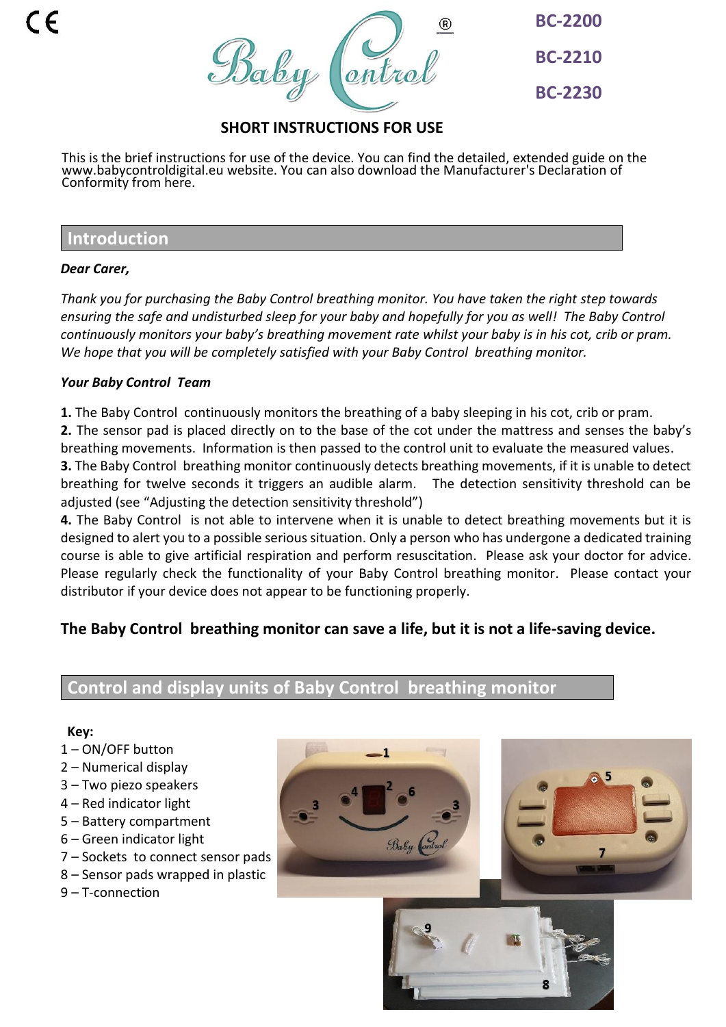

**BC-2200**

**BC-2230**

# **SHORT INSTRUCTIONS FOR USE**

This is the brief instructions for use of the device. You can find the detailed, extended guide on the www.babycontroldigital.eu website. You can also download the Manufacturer's Declaration of Conformity from here.

### **Introduction**

#### *Dear Carer,*

*Thank you for purchasing the Baby Control breathing monitor. You have taken the right step towards ensuring the safe and undisturbed sleep for your baby and hopefully for you as well! The Baby Control continuously monitors your baby's breathing movement rate whilst your baby is in his cot, crib or pram. We hope that you will be completely satisfied with your Baby Control breathing monitor.*

#### *Your Baby Control Team*

**1.** The Baby Control continuously monitors the breathing of a baby sleeping in his cot, crib or pram.

**2.** The sensor pad is placed directly on to the base of the cot under the mattress and senses the baby's breathing movements. Information is then passed to the control unit to evaluate the measured values.

**3.** The Baby Control breathing monitor continuously detects breathing movements, if it is unable to detect breathing for twelve seconds it triggers an audible alarm. The detection sensitivity threshold can be adjusted (see "Adjusting the detection sensitivity threshold")

**4.** The Baby Control is not able to intervene when it is unable to detect breathing movements but it is designed to alert you to a possible serious situation. Only a person who has undergone a dedicated training course is able to give artificial respiration and perform resuscitation. Please ask your doctor for advice. Please regularly check the functionality of your Baby Control breathing monitor. Please contact your distributor if your device does not appear to be functioning properly.

### **The Baby Control breathing monitor can save a life, but it is not a life-saving device.**

# **Control and display units of Baby Control breathing monitor**

#### **Key:**

- 1 ON/OFF button
- 2 Numerical display
- 3 Two piezo speakers
- 4 Red indicator light
- 5 Battery compartment
- 6 Green indicator light
- 7 Sockets to connect sensor pads
- 8 Sensor pads wrapped in plastic
- 9 T-connection



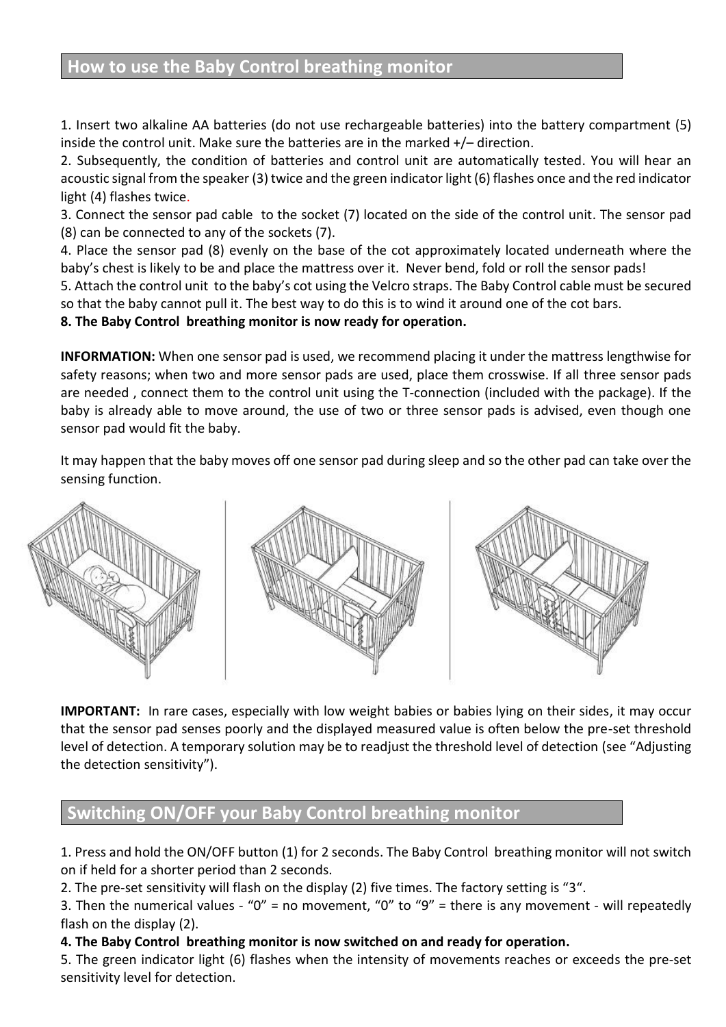# **How to use the Baby Control breathing monitor**

1. Insert two alkaline AA batteries (do not use rechargeable batteries) into the battery compartment (5) inside the control unit. Make sure the batteries are in the marked +/– direction.

2. Subsequently, the condition of batteries and control unit are automatically tested. You will hear an acoustic signal from the speaker (3) twice and the green indicator light (6) flashes once and the red indicator light (4) flashes twice.

3. Connect the sensor pad cable to the socket (7) located on the side of the control unit. The sensor pad (8) can be connected to any of the sockets (7).

4. Place the sensor pad (8) evenly on the base of the cot approximately located underneath where the baby's chest is likely to be and place the mattress over it. Never bend, fold or roll the sensor pads!

5. Attach the control unit to the baby's cot using the Velcro straps. The Baby Control cable must be secured so that the baby cannot pull it. The best way to do this is to wind it around one of the cot bars.

**8. The Baby Control breathing monitor is now ready for operation.**

**INFORMATION:** When one sensor pad is used, we recommend placing it under the mattress lengthwise for safety reasons; when two and more sensor pads are used, place them crosswise. If all three sensor pads are needed , connect them to the control unit using the T-connection (included with the package). If the baby is already able to move around, the use of two or three sensor pads is advised, even though one sensor pad would fit the baby.

It may happen that the baby moves off one sensor pad during sleep and so the other pad can take over the sensing function.



**IMPORTANT:** In rare cases, especially with low weight babies or babies lying on their sides, it may occur that the sensor pad senses poorly and the displayed measured value is often below the pre-set threshold level of detection. A temporary solution may be to readjust the threshold level of detection (see "Adjusting the detection sensitivity").

# **Switching ON/OFF your Baby Control breathing monitor**

1. Press and hold the ON/OFF button (1) for 2 seconds. The Baby Control breathing monitor will not switch on if held for a shorter period than 2 seconds.

2. The pre-set sensitivity will flash on the display (2) five times. The factory setting is "3".

3. Then the numerical values - " $0"$  = no movement, " $0"$  to " $9"$  = there is any movement - will repeatedly flash on the display (2).

### **4. The Baby Control breathing monitor is now switched on and ready for operation.**

5. The green indicator light (6) flashes when the intensity of movements reaches or exceeds the pre-set sensitivity level for detection.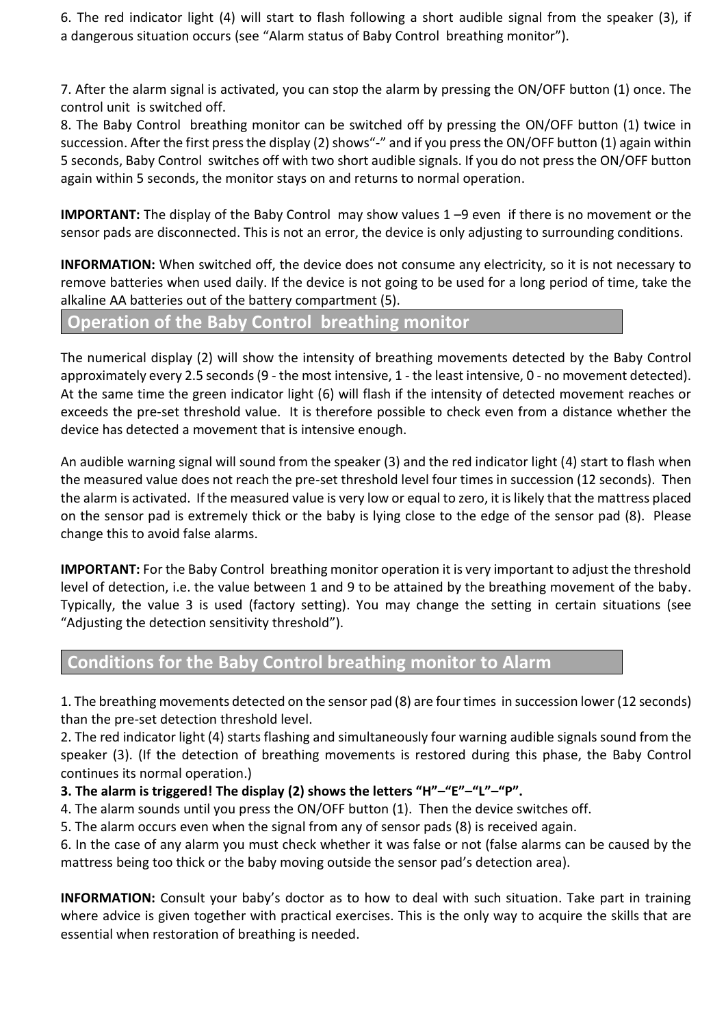6. The red indicator light (4) will start to flash following a short audible signal from the speaker (3), if a dangerous situation occurs (see "Alarm status of Baby Control breathing monitor").

7. After the alarm signal is activated, you can stop the alarm by pressing the ON/OFF button (1) once. The control unit is switched off.

8. The Baby Control breathing monitor can be switched off by pressing the ON/OFF button (1) twice in succession. After the first press the display (2) shows"-" and if you press the ON/OFF button (1) again within 5 seconds, Baby Control switches off with two short audible signals. If you do not press the ON/OFF button again within 5 seconds, the monitor stays on and returns to normal operation.

**IMPORTANT:** The display of the Baby Control may show values 1 –9 even if there is no movement or the sensor pads are disconnected. This is not an error, the device is only adjusting to surrounding conditions.

**INFORMATION:** When switched off, the device does not consume any electricity, so it is not necessary to remove batteries when used daily. If the device is not going to be used for a long period of time, take the alkaline AA batteries out of the battery compartment (5).

### **Operation of the Baby Control breathing monitor**

The numerical display (2) will show the intensity of breathing movements detected by the Baby Control approximately every 2.5 seconds (9 - the most intensive, 1 - the least intensive, 0 - no movement detected). At the same time the green indicator light (6) will flash if the intensity of detected movement reaches or exceeds the pre-set threshold value. It is therefore possible to check even from a distance whether the device has detected a movement that is intensive enough.

An audible warning signal will sound from the speaker (3) and the red indicator light (4) start to flash when the measured value does not reach the pre-set threshold level four times in succession (12 seconds). Then the alarm is activated. If the measured value is very low or equal to zero, it is likely that the mattress placed on the sensor pad is extremely thick or the baby is lying close to the edge of the sensor pad (8). Please change this to avoid false alarms.

**IMPORTANT:** For the Baby Control breathing monitor operation it is very important to adjust the threshold level of detection, i.e. the value between 1 and 9 to be attained by the breathing movement of the baby. Typically, the value 3 is used (factory setting). You may change the setting in certain situations (see "Adjusting the detection sensitivity threshold").

# **Conditions for the Baby Control breathing monitor to Alarm**

1. The breathing movements detected on the sensor pad (8) are four times in succession lower (12 seconds) than the pre-set detection threshold level.

2. The red indicator light (4) starts flashing and simultaneously four warning audible signals sound from the speaker (3). (If the detection of breathing movements is restored during this phase, the Baby Control continues its normal operation.)

- **3. The alarm is triggered! The display (2) shows the letters "H"–"E"–"L"–"P".**
- 4. The alarm sounds until you press the ON/OFF button (1). Then the device switches off.
- 5. The alarm occurs even when the signal from any of sensor pads (8) is received again.

6. In the case of any alarm you must check whether it was false or not (false alarms can be caused by the mattress being too thick or the baby moving outside the sensor pad's detection area).

**INFORMATION:** Consult your baby's doctor as to how to deal with such situation. Take part in training where advice is given together with practical exercises. This is the only way to acquire the skills that are essential when restoration of breathing is needed.